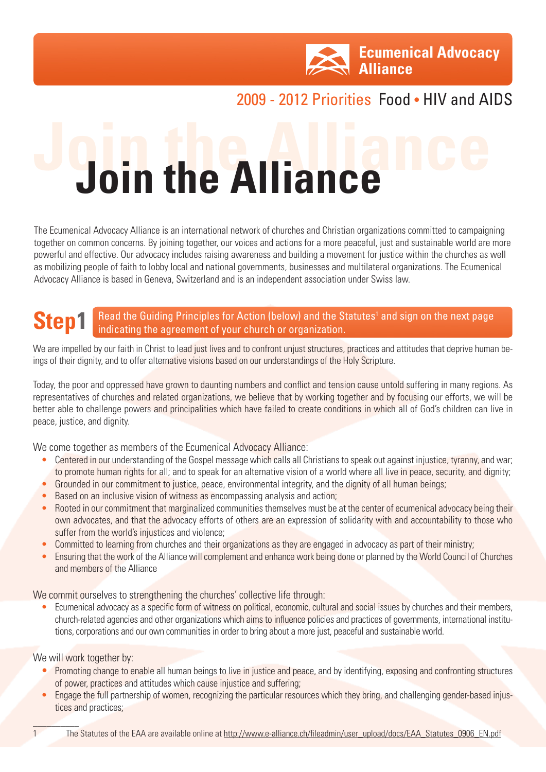

## 2009 - 2012 Priorities Food • HIV and AIDS

## **Join the Alliance Join the Alliance**

The Ecumenical Advocacy Alliance is an international network of churches and Christian organizations committed to campaigning together on common concerns. By joining together, our voices and actions for a more peaceful, just and sustainable world are more powerful and effective. Our advocacy includes raising awareness and building a movement for justice within the churches as well as mobilizing people of faith to lobby local and national governments, businesses and multilateral organizations. The Ecumenical Advocacy Alliance is based in Geneva, Switzerland and is an independent association under Swiss law.

## **Step1** Read the Guiding Principles for Action (below) and the Statutes<sup>1</sup> and sign on the next page indicating the agreement of your church or organization.

We are impelled by our faith in Christ to lead just lives and to confront unjust structures, practices and attitudes that deprive human beings of their dignity, and to offer alternative visions based on our understandings of the Holy Scripture.

Today, the poor and oppressed have grown to daunting numbers and conflict and tension cause untold suffering in many regions. As representatives of churches and related organizations, we believe that by working together and by focusing our efforts, we will be better able to challenge powers and principalities which have failed to create conditions in which all of God's children can live in peace, justice, and dignity.

We come together as members of the Ecumenical Advocacy Alliance:

- Centered in our understanding of the Gospel message which calls all Christians to speak out against injustice, tyranny, and war; to promote human rights for all; and to speak for an alternative vision of a world where all live in peace, security, and dignity;
- Grounded in our commitment to justice, peace, environmental integrity, and the dignity of all human beings;
- Based on an inclusive vision of witness as encompassing analysis and action;
- Rooted in our commitment that marginalized communities themselves must be at the center of ecumenical advocacy being their own advocates, and that the advocacy efforts of others are an expression of solidarity with and accountability to those who suffer from the world's injustices and violence;
- Committed to learning from churches and their organizations as they are engaged in advocacy as part of their ministry;
- Ensuring that the work of the Alliance will complement and enhance work being done or planned by the World Council of Churches and members of the Alliance

We commit ourselves to strengthening the churches' collective life through:

• Ecumenical advocacy as a specific form of witness on political, economic, cultural and social issues by churches and their members, church-related agencies and other organizations which aims to influence policies and practices of governments, international institutions, corporations and our own communities in order to bring about a more just, peaceful and sustainable world.

We will work together by:

 $\mathcal{L}$ 

- Promoting change to enable all human beings to live in justice and peace, and by identifying, exposing and confronting structures of power, practices and attitudes which cause injustice and suffering;
- Engage the full partnership of women, recognizing the particular resources which they bring, and challenging gender-based injustices and practices;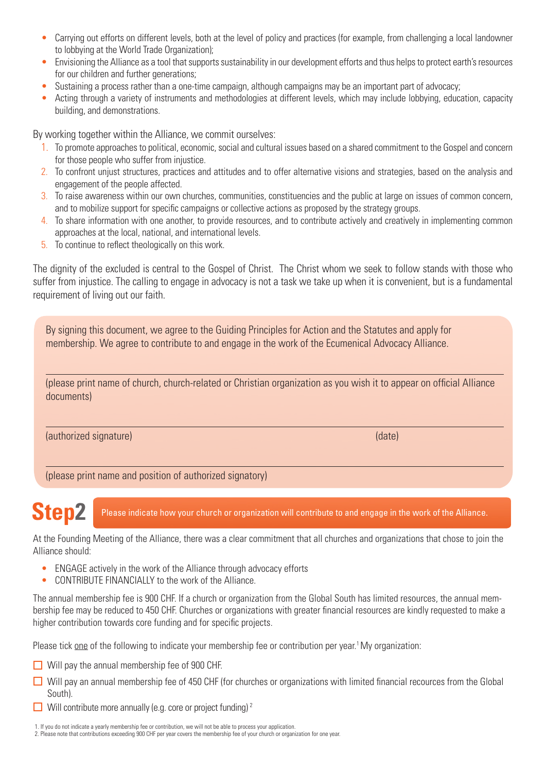- Carrying out efforts on different levels, both at the level of policy and practices (for example, from challenging a local landowner to lobbying at the World Trade Organization);
- Envisioning the Alliance as a tool that supports sustainability in our development efforts and thus helps to protect earth's resources for our children and further generations;
- Sustaining a process rather than a one-time campaign, although campaigns may be an important part of advocacy;
- Acting through a variety of instruments and methodologies at different levels, which may include lobbying, education, capacity building, and demonstrations.

By working together within the Alliance, we commit ourselves:

- 1. To promote approaches to political, economic, social and cultural issues based on a shared commitment to the Gospel and concern for those people who suffer from injustice.
- 2. To confront unjust structures, practices and attitudes and to offer alternative visions and strategies, based on the analysis and engagement of the people affected.
- 3. To raise awareness within our own churches, communities, constituencies and the public at large on issues of common concern, and to mobilize support for specific campaigns or collective actions as proposed by the strategy groups.
- 4. To share information with one another, to provide resources, and to contribute actively and creatively in implementing common approaches at the local, national, and international levels.
- 5. To continue to reflect theologically on this work.

The dignity of the excluded is central to the Gospel of Christ. The Christ whom we seek to follow stands with those who suffer from injustice. The calling to engage in advocacy is not a task we take up when it is convenient, but is a fundamental requirement of living out our faith.

By signing this document, we agree to the Guiding Principles for Action and the Statutes and apply for membership. We agree to contribute to and engage in the work of the Ecumenical Advocacy Alliance.

(please print name of church, church-related or Christian organization as you wish it to appear on official Alliance documents)

(authorized signature) (date)

(please print name and position of authorized signatory)

**Step2** Please indicate how your church or organization will contribute to and engage in the work of the Alliance.

At the Founding Meeting of the Alliance, there was a clear commitment that all churches and organizations that chose to join the Alliance should:

- ENGAGE actively in the work of the Alliance through advocacy efforts
- CONTRIBUTE FINANCIALLY to the work of the Alliance.

The annual membership fee is 900 CHF. If a church or organization from the Global South has limited resources, the annual membership fee may be reduced to 450 CHF. Churches or organizations with greater financial resources are kindly requested to make a higher contribution towards core funding and for specific projects.

Please tick one of the following to indicate your membership fee or contribution per year.<sup>1</sup> My organization:

- $\Box$  Will pay the annual membership fee of 900 CHF.
- $\Box$  Will pay an annual membership fee of 450 CHF (for churches or organizations with limited financial recources from the Global South).
- $\Box$  Will contribute more annually (e.g. core or project funding)<sup>2</sup>

1. If you do not indicate a yearly membership fee or contribution, we will not be able to process your application.

<sup>2.</sup> Please note that contributions exceeding 900 CHF per year covers the membership fee of your church or organization for one year.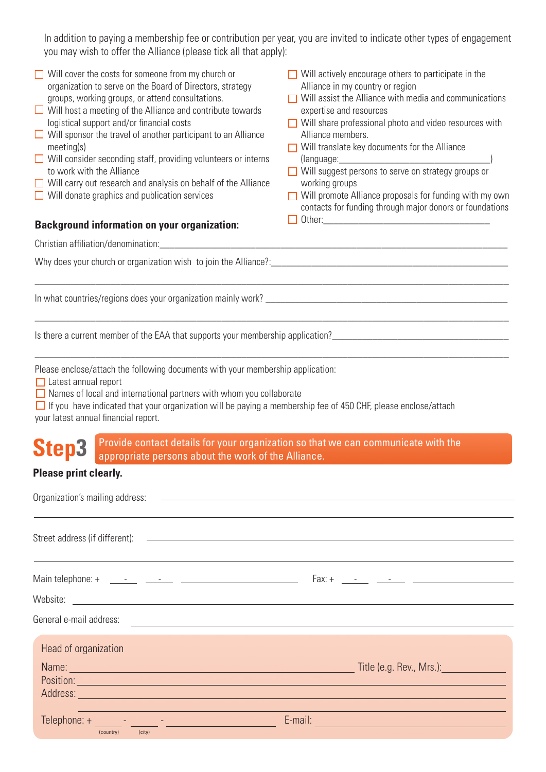| In addition to paying a membership fee or contribution per year, you are invited to indicate other types of engagement<br>you may wish to offer the Alliance (please tick all that apply):                                                                                                                                                                                                                                                                                                                                                                                                                                                                                       |                                                                                                                                                                                                                                                                                                                                                                                                                                                                                                                                                     |  |
|----------------------------------------------------------------------------------------------------------------------------------------------------------------------------------------------------------------------------------------------------------------------------------------------------------------------------------------------------------------------------------------------------------------------------------------------------------------------------------------------------------------------------------------------------------------------------------------------------------------------------------------------------------------------------------|-----------------------------------------------------------------------------------------------------------------------------------------------------------------------------------------------------------------------------------------------------------------------------------------------------------------------------------------------------------------------------------------------------------------------------------------------------------------------------------------------------------------------------------------------------|--|
| $\Box$ Will cover the costs for someone from my church or<br>organization to serve on the Board of Directors, strategy<br>groups, working groups, or attend consultations.<br>$\Box$ Will host a meeting of the Alliance and contribute towards<br>logistical support and/or financial costs<br>$\Box$ Will sponsor the travel of another participant to an Alliance<br>meeting(s)<br>$\Box$ Will consider seconding staff, providing volunteers or interns<br>to work with the Alliance<br>$\Box$ Will carry out research and analysis on behalf of the Alliance<br>$\Box$ Will donate graphics and publication services<br><b>Background information on your organization:</b> | $\Box$ Will actively encourage others to participate in the<br>Alliance in my country or region<br>$\Box$ Will assist the Alliance with media and communications<br>expertise and resources<br>$\Box$ Will share professional photo and video resources with<br>Alliance members.<br>$\Box$ Will translate key documents for the Alliance<br>Will suggest persons to serve on strategy groups or<br>working groups<br>Will promote Alliance proposals for funding with my own<br>П<br>contacts for funding through major donors or foundations<br>П |  |
|                                                                                                                                                                                                                                                                                                                                                                                                                                                                                                                                                                                                                                                                                  |                                                                                                                                                                                                                                                                                                                                                                                                                                                                                                                                                     |  |
|                                                                                                                                                                                                                                                                                                                                                                                                                                                                                                                                                                                                                                                                                  |                                                                                                                                                                                                                                                                                                                                                                                                                                                                                                                                                     |  |
| Is there a current member of the EAA that supports your membership application?<br>1920 -  2021 - Production Production Production Production Production Production Production Production Produc                                                                                                                                                                                                                                                                                                                                                                                                                                                                                 |                                                                                                                                                                                                                                                                                                                                                                                                                                                                                                                                                     |  |
| Please enclose/attach the following documents with your membership application:<br>$\Box$ Latest annual report<br>$\Box$ Names of local and international partners with whom you collaborate<br>$\Box$ If you have indicated that your organization will be paying a membership fee of 450 CHF, please enclose/attach<br>your latest annual financial report.                                                                                                                                                                                                                                                                                                                    |                                                                                                                                                                                                                                                                                                                                                                                                                                                                                                                                                     |  |
| Step3<br>appropriate persons about the work of the Alliance.                                                                                                                                                                                                                                                                                                                                                                                                                                                                                                                                                                                                                     | Provide contact details for your organization so that we can communicate with the                                                                                                                                                                                                                                                                                                                                                                                                                                                                   |  |
| <b>Please print clearly.</b>                                                                                                                                                                                                                                                                                                                                                                                                                                                                                                                                                                                                                                                     |                                                                                                                                                                                                                                                                                                                                                                                                                                                                                                                                                     |  |
| Organization's mailing address: 2008 2009 2009 2009 2010 2021 2022 2034 2040 2051 2062 2071 2083 209                                                                                                                                                                                                                                                                                                                                                                                                                                                                                                                                                                             |                                                                                                                                                                                                                                                                                                                                                                                                                                                                                                                                                     |  |
| Street address (if different): example and a street and a street and a street and a street and a street and a street and a street and a street and a street and a street and a street and a street and a street and a street a                                                                                                                                                                                                                                                                                                                                                                                                                                                   |                                                                                                                                                                                                                                                                                                                                                                                                                                                                                                                                                     |  |
|                                                                                                                                                                                                                                                                                                                                                                                                                                                                                                                                                                                                                                                                                  |                                                                                                                                                                                                                                                                                                                                                                                                                                                                                                                                                     |  |
|                                                                                                                                                                                                                                                                                                                                                                                                                                                                                                                                                                                                                                                                                  |                                                                                                                                                                                                                                                                                                                                                                                                                                                                                                                                                     |  |
| General e-mail address: <u>experimental experimental experimental experimental e-mail address:</u>                                                                                                                                                                                                                                                                                                                                                                                                                                                                                                                                                                               |                                                                                                                                                                                                                                                                                                                                                                                                                                                                                                                                                     |  |
| Head of organization<br>Position: experience and the contract of the contract of the contract of the contract of the contract of the contract of the contract of the contract of the contract of the contract of the contract of the contract of the c<br>Address: Address: Address: Address: Address: Address: Address: Address: Address: Address: Address: Address: Address: Address: Address: Address: Address: Address: Address: Address: Address: Address: Address: Address: Addres                                                                                                                                                                                         |                                                                                                                                                                                                                                                                                                                                                                                                                                                                                                                                                     |  |
| <u> 1989 - Johann Barbara, martxa eta idazlea (h. 1989).</u>                                                                                                                                                                                                                                                                                                                                                                                                                                                                                                                                                                                                                     | <u> 1989 - Johann Stein, marwolaethau a bhann an t-Amhair an t-Amhair an t-Amhair an t-Amhair an t-Amhair an t-A</u><br>E-mail: <b>E-mail: E-mail: E-mail: E-mail: E-mail: E-mail: E-mail: E-mail: E-mail: E-mail: E-mail: E-mail: E-mail: E-mail: E-mail: E-mail: E-mail: E-mail: E-mail: E-mail: E-mail: </b>                                                                                                                                                                                                                                     |  |
| (country)<br>(city)                                                                                                                                                                                                                                                                                                                                                                                                                                                                                                                                                                                                                                                              |                                                                                                                                                                                                                                                                                                                                                                                                                                                                                                                                                     |  |